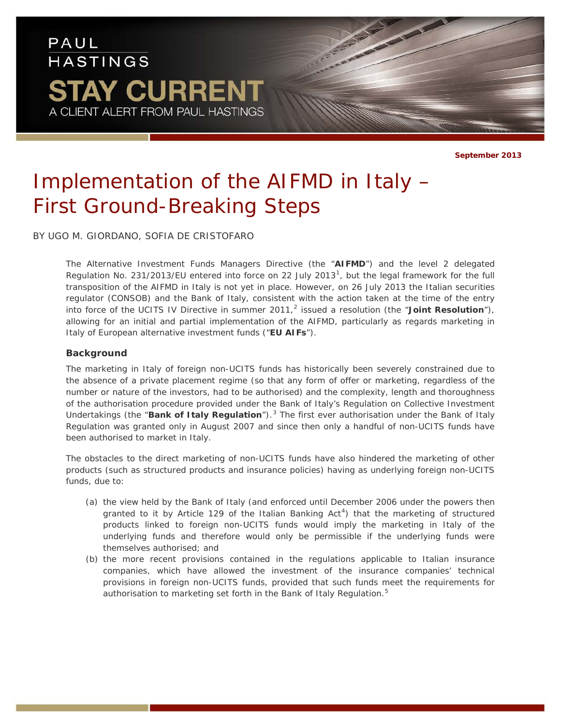## PAUL **HASTINGS STAY CURRENT** A CLIENT ALERT FROM PAUL HASTINGS

**September 2013**

# *Implementation of the AIFMD in Italy – First Ground-Breaking Steps*

BY UGO M. GIORDANO, SOFIA DE CRISTOFARO

The Alternative Investment Funds Managers Directive (the "**AIFMD**") and the level 2 delegated Regulation No. 23[1](#page-3-0)/2013/EU entered into force on 22 July 2013<sup>1</sup>, but the legal framework for the full transposition of the AIFMD in Italy is not yet in place. However, on 26 July 2013 the Italian securities regulator (CONSOB) and the Bank of Italy, consistent with the action taken at the time of the entry into force of the UCITS IV Directive in summer 2011, [2](#page-3-1) issued a resolution (the "**Joint Resolution**"), allowing for an initial and partial implementation of the AIFMD, particularly as regards marketing in Italy of European alternative investment funds ("**EU AIFs**").

#### **Background**

The marketing in Italy of foreign non-UCITS funds has historically been severely constrained due to the absence of a private placement regime (so that any form of offer or marketing, regardless of the number or nature of the investors, had to be authorised) and the complexity, length and thoroughness of the authorisation procedure provided under the Bank of Italy's Regulation on Collective Investment Undertakings (the "**Bank of Italy Regulation**"). [3](#page-3-2) The first ever authorisation under the Bank of Italy Regulation was granted only in August 2007 and since then only a handful of non-UCITS funds have been authorised to market in Italy.

The obstacles to the direct marketing of non-UCITS funds have also hindered the marketing of other products (such as structured products and insurance policies) having as underlying foreign non-UCITS funds, due to:

- (a) the view held by the Bank of Italy (and enforced until December 2006 under the powers then granted to it by Article 129 of the Italian Banking  $Act<sup>4</sup>)$  $Act<sup>4</sup>)$  $Act<sup>4</sup>)$  that the marketing of structured products linked to foreign non-UCITS funds would imply the marketing in Italy of the underlying funds and therefore would only be permissible if the underlying funds were themselves authorised; and
- (b) the more recent provisions contained in the regulations applicable to Italian insurance companies, which have allowed the investment of the insurance companies' technical provisions in foreign non-UCITS funds, provided that such funds meet the requirements for authorisation to marketing set forth in the Bank of Italy Regulation.<sup>[5](#page-3-4)</sup>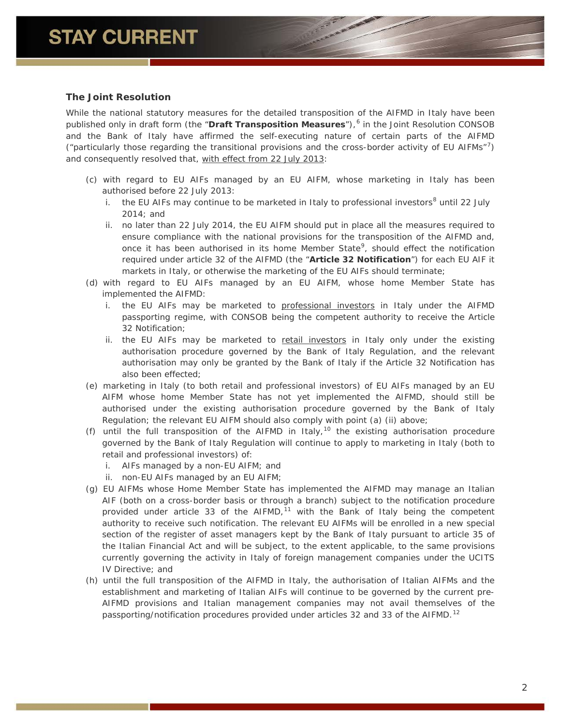### **The Joint Resolution**

While the national statutory measures for the detailed transposition of the AIFMD in Italy have been published only in draft form (the "**Draft Transposition Measures**"), [6](#page-4-0) in the Joint Resolution CONSOB and the Bank of Italy have affirmed the self-executing nature of certain parts of the AIFMD ("particularly those regarding the transitional provisions and the cross-border activity of EU AIFMs"[7](#page-4-1) ) and consequently resolved that, with effect from 22 July 2013:

- (c) with regard to EU AIFs managed by an EU AIFM, whose marketing in Italy has been authorised before 22 July 2013:
	- i. the EU AIFs may continue to be marketed in Italy to professional investors<sup>[8](#page-4-2)</sup> until 22 July 2014; and
	- ii. no later than 22 July 2014, the EU AIFM should put in place all the measures required to ensure compliance with the national provisions for the transposition of the AIFMD and, once it has been authorised in its home Member State<sup>[9](#page-4-3)</sup>, should effect the notification required under article 32 of the AIFMD (the "**Article 32 Notification**") for each EU AIF it markets in Italy, or otherwise the marketing of the EU AIFs should terminate;
- (d) with regard to EU AIFs managed by an EU AIFM, whose home Member State *has implemented* the AIFMD:
	- i. the EU AIFs may be marketed to professional investors in Italy under the AIFMD passporting regime, with CONSOB being the competent authority to receive the Article 32 Notification;
	- ii. the EU AIFs may be marketed to retail investors in Italy only under the existing authorisation procedure governed by the Bank of Italy Regulation, and the relevant authorisation may only be granted by the Bank of Italy if the Article 32 Notification has also been effected;
- (e) marketing in Italy (to both retail and professional investors) of EU AIFs managed by an EU AIFM whose home Member State *has not yet implemented* the AIFMD, should still be authorised under the existing authorisation procedure governed by the Bank of Italy Regulation; the relevant EU AIFM should also comply with point (a) (ii) above;
- (f) until the full transposition of the AIFMD in Italy,<sup>[10](#page-4-4)</sup> the existing authorisation procedure governed by the Bank of Italy Regulation will continue to apply to marketing in Italy (both to retail and professional investors) of:
	- i. AIFs managed by a non-EU AIFM; and
	- ii. non-EU AIFs managed by an EU AIFM;
- (g) EU AIFMs whose Home Member State *has implemented* the AIFMD may manage an Italian AIF (both on a cross-border basis or through a branch) subject to the notification procedure provided under article 33 of the AIFMD,<sup>[11](#page-4-5)</sup> with the Bank of Italy being the competent authority to receive such notification. The relevant EU AIFMs will be enrolled in a new special section of the register of asset managers kept by the Bank of Italy pursuant to article 35 of the Italian Financial Act and will be subject, to the extent applicable, to the same provisions currently governing the activity in Italy of foreign management companies under the UCITS IV Directive; and
- (h) until the full transposition of the AIFMD in Italy, the authorisation of Italian AIFMs and the establishment and marketing of Italian AIFs will continue to be governed by the current pre-AIFMD provisions and Italian management companies may not avail themselves of the passporting/notification procedures provided under articles 32 and 33 of the AIFMD.<sup>[12](#page-4-6)</sup>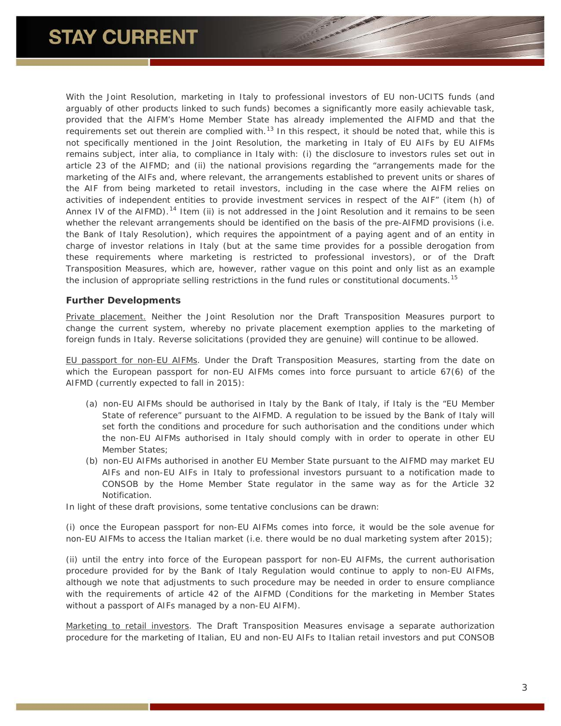With the Joint Resolution, marketing in Italy to professional investors of EU non-UCITS funds (and arguably of other products linked to such funds) becomes a significantly more easily achievable task, provided that the AIFM's Home Member State has already implemented the AIFMD and that the requirements set out therein are complied with.<sup>[13](#page--1-0)</sup> In this respect, it should be noted that, while this is not specifically mentioned in the Joint Resolution, the marketing in Italy of EU AIFs by EU AIFMs remains subject, *inter alia*, to compliance in Italy with: (i) the disclosure to investors rules set out in article 23 of the AIFMD; and (ii) the national provisions regarding the "arrangements made for the marketing of the AIFs and, where relevant, the arrangements established to prevent units or shares of the AIF from being marketed to retail investors, including in the case where the AIFM relies on activities of independent entities to provide investment services in respect of the AIF" (item (h) of Annex IV of the AIFMD).<sup>[14](#page--1-1)</sup> Item (ii) is not addressed in the Joint Resolution and it remains to be seen whether the relevant arrangements should be identified on the basis of the pre-AIFMD provisions (i.e. the Bank of Italy Resolution), which requires the appointment of a paying agent and of an entity in charge of investor relations in Italy (but at the same time provides for a possible derogation from these requirements where marketing is restricted to professional investors), or of the Draft Transposition Measures, which are, however, rather vague on this point and only list as an example the inclusion of appropriate selling restrictions in the fund rules or constitutional documents.<sup>[15](#page--1-2)</sup>

#### **Further Developments**

Private placement. Neither the Joint Resolution nor the Draft Transposition Measures purport to change the current system, whereby no private placement exemption applies to the marketing of foreign funds in Italy. Reverse solicitations (provided they are genuine) will continue to be allowed.

EU passport for non-EU AIFMs. Under the Draft Transposition Measures, starting from the date on which the European passport for non-EU AIFMs comes into force pursuant to article 67(6) of the AIFMD (currently expected to fall in 2015):

- (a) non-EU AIFMs should be authorised in Italy by the Bank of Italy, if Italy is the "EU Member State of reference" pursuant to the AIFMD. A regulation to be issued by the Bank of Italy will set forth the conditions and procedure for such authorisation and the conditions under which the non-EU AIFMs authorised in Italy should comply with in order to operate in other EU Member States;
- (b) non-EU AIFMs authorised in another EU Member State pursuant to the AIFMD may market EU AIFs and non-EU AIFs in Italy to professional investors pursuant to a notification made to CONSOB by the Home Member State regulator in the same way as for the Article 32 Notification.

In light of these draft provisions, some tentative conclusions can be drawn:

(i) once the European passport for non-EU AIFMs comes into force, it would be the sole avenue for non-EU AIFMs to access the Italian market (i.e. there would be no dual marketing system after 2015);

(ii) until the entry into force of the European passport for non-EU AIFMs, the current authorisation procedure provided for by the Bank of Italy Regulation would continue to apply to non-EU AIFMs, although we note that adjustments to such procedure may be needed in order to ensure compliance with the requirements of article 42 of the AIFMD (*Conditions for the marketing in Member States without a passport of AIFs managed by a non-EU AIFM*).

Marketing to retail investors. The Draft Transposition Measures envisage a separate authorization procedure for the marketing of Italian, EU and non-EU AIFs to Italian retail investors and put CONSOB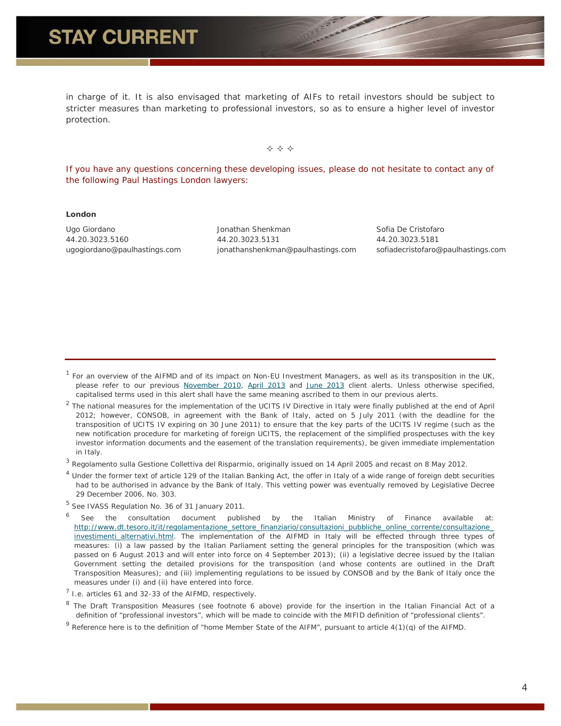### **STAY CURRENT**

in charge of it. It is also envisaged that marketing of AIFs to retail investors should be subject to stricter measures than marketing to professional investors, so as to ensure a higher level of investor protection.

 $\Leftrightarrow$   $\Leftrightarrow$   $\Leftrightarrow$ 

*If you have any questions concerning these developing issues, please do not hesitate to contact any of the following Paul Hastings London lawyers:*

#### **London**

Ugo Giordano 44.20.3023.5160 ugogiordano@paulhastings.com

Jonathan Shenkman 44.20.3023.5131 jonathanshenkman@paulhastings.com Sofia De Cristofaro 44.20.3023.5181 sofiadecristofaro@paulhastings.com

<span id="page-3-0"></span> $1$  For an overview of the AIFMD and of its impact on Non-EU Investment Managers, as well as its transposition in the UK, please refer to our previous [November 2010,](http://www.paulhastings.com/publications-items/details/?id=61b02a26-8aa5-6986-8b86-ff00008cffc3) [April 2013](http://www.paulhastings.com/publications-items/details/?id=e1cc3026-8aa5-6986-8b86-ff00008cffc3) and [June 2013](http://www.paulhastings.com/publications-items/details/?id=67f93226-8aa5-6986-8b86-ff00008cffc3) client alerts. Unless otherwise specified, capitalised terms used in this alert shall have the same meaning ascribed to them in our previous alerts.

<span id="page-3-1"></span><sup>2</sup> The national measures for the implementation of the UCITS IV Directive in Italy were finally published at the end of April 2012; however, CONSOB, in agreement with the Bank of Italy, acted on 5 July 2011 (with the deadline for the transposition of UCITS IV expiring on 30 June 2011) to ensure that the key parts of the UCITS IV regime (such as the new notification procedure for marketing of foreign UCITS, the replacement of the simplified prospectuses with the key investor information documents and the easement of the translation requirements), be given immediate implementation in Italy.

<span id="page-3-2"></span><sup>3</sup> *Regolamento sulla Gestione Collettiva del Risparmio*, originally issued on 14 April 2005 and recast on 8 May 2012.

<span id="page-3-3"></span> $<sup>4</sup>$  Under the former text of article 129 of the Italian Banking Act, the offer in Italy of a wide range of foreign debt securities</sup> had to be authorised in advance by the Bank of Italy. This vetting power was eventually removed by Legislative Decree 29 December 2006, No. 303.

<span id="page-3-4"></span><sup>5</sup> See IVASS Regulation No. 36 of 31 January 2011.

See the consultation document published by the Italian Ministry of Finance available at: [http://www.dt.tesoro.it/it/regolamentazione\\_settore\\_finanziario/consultazioni\\_pubbliche\\_online\\_corrente/consultazione\\_](http://www.dt.tesoro.it/it/regolamentazione_settore_finanziario/consultazioni_pubbliche_online_corrente/consultazione_investimenti_alternativi.html) [investimenti\\_alternativi.html.](http://www.dt.tesoro.it/it/regolamentazione_settore_finanziario/consultazioni_pubbliche_online_corrente/consultazione_investimenti_alternativi.html) The implementation of the AIFMD in Italy will be effected through three types of measures: (i) a law passed by the Italian Parliament setting the general principles for the transposition (which was passed on 6 August 2013 and will enter into force on 4 September 2013); (ii) a legislative decree issued by the Italian Government setting the detailed provisions for the transposition (and whose contents are outlined in the Draft Transposition Measures); and (iii) implementing regulations to be issued by CONSOB and by the Bank of Italy once the measures under (i) and (ii) have entered into force.

 $<sup>7</sup>$  I.e. articles 61 and 32-33 of the AIFMD, respectively.</sup>

<sup>8</sup> The Draft Transposition Measures (see footnote 6 above) provide for the insertion in the Italian Financial Act of a definition of "professional investors", which will be made to coincide with the MIFID definition of "professional clients".

 $9$  Reference here is to the definition of "home Member State of the AIFM", pursuant to article  $4(1)(q)$  of the AIFMD.